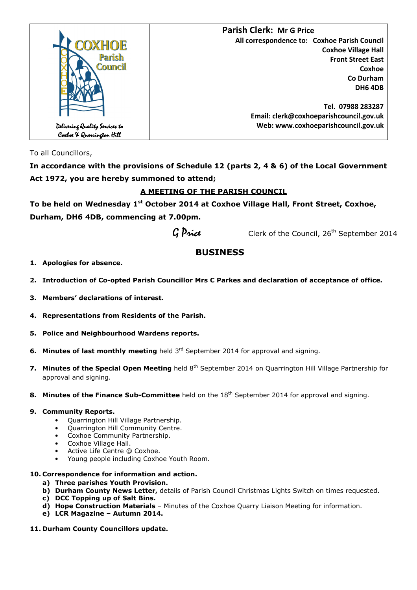

To all Councillors,

**In accordance with the provisions of Schedule 12 (parts 2, 4 & 6) of the Local Government Act 1972, you are hereby summoned to attend;** 

# **A MEETING OF THE PARISH COUNCIL**

**To be held on Wednesday 1st October 2014 at Coxhoe Village Hall, Front Street, Coxhoe, Durham, DH6 4DB, commencing at 7.00pm.** 

 $G$  *Price* Clerk of the Council, 26<sup>th</sup> September 2014

# **BUSINESS**

## **1. Apologies for absence.**

- **2. Introduction of Co-opted Parish Councillor Mrs C Parkes and declaration of acceptance of office.**
- **3. Members' declarations of interest.**
- **4. Representations from Residents of the Parish.**
- **5. Police and Neighbourhood Wardens reports.**
- **6. Minutes of last monthly meeting** held 3<sup>rd</sup> September 2014 for approval and signing.
- **7. Minutes of the Special Open Meeting** held 8<sup>th</sup> September 2014 on Quarrington Hill Village Partnership for approval and signing.
- **8. Minutes of the Finance Sub-Committee** held on the 18<sup>th</sup> September 2014 for approval and signing.

## **9. Community Reports.**

- Quarrington Hill Village Partnership.
- Quarrington Hill Community Centre.
- Coxhoe Community Partnership.
- Coxhoe Village Hall.
- Active Life Centre @ Coxhoe.
- Young people including Coxhoe Youth Room.

## **10. Correspondence for information and action.**

- **a) Three parishes Youth Provision.**
- **b) Durham County News Letter,** details of Parish Council Christmas Lights Switch on times requested.
- **c) DCC Topping up of Salt Bins.**
- **d) Hope Construction Materials** Minutes of the Coxhoe Quarry Liaison Meeting for information.
- **e) LCR Magazine Autumn 2014.**
- **11. Durham County Councillors update.**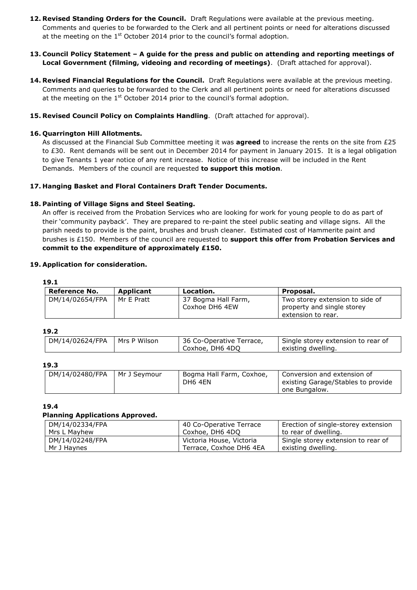- **12. Revised Standing Orders for the Council.** Draft Regulations were available at the previous meeting. Comments and queries to be forwarded to the Clerk and all pertinent points or need for alterations discussed at the meeting on the  $1<sup>st</sup>$  October 2014 prior to the council's formal adoption.
- **13. Council Policy Statement A guide for the press and public on attending and reporting meetings of Local Government (filming, videoing and recording of meetings)**. (Draft attached for approval).
- **14. Revised Financial Regulations for the Council.** Draft Regulations were available at the previous meeting. Comments and queries to be forwarded to the Clerk and all pertinent points or need for alterations discussed at the meeting on the  $1<sup>st</sup>$  October 2014 prior to the council's formal adoption.
- **15. Revised Council Policy on Complaints Handling**. (Draft attached for approval).

## **16. Quarrington Hill Allotments.**

As discussed at the Financial Sub Committee meeting it was **agreed** to increase the rents on the site from £25 to £30. Rent demands will be sent out in December 2014 for payment in January 2015. It is a legal obligation to give Tenants 1 year notice of any rent increase. Notice of this increase will be included in the Rent Demands. Members of the council are requested **to support this motion**.

### **17. Hanging Basket and Floral Containers Draft Tender Documents.**

### **18. Painting of Village Signs and Steel Seating.**

An offer is received from the Probation Services who are looking for work for young people to do as part of their 'community payback'. They are prepared to re-paint the steel public seating and village signs. All the parish needs to provide is the paint, brushes and brush cleaner. Estimated cost of Hammerite paint and brushes is £150. Members of the council are requested to **support this offer from Probation Services and commit to the expenditure of approximately £150.**

#### **19. Application for consideration.**

| Reference No.   | Applicant  | Location.                             | Proposal.                                                                           |
|-----------------|------------|---------------------------------------|-------------------------------------------------------------------------------------|
| DM/14/02654/FPA | Mr E Pratt | 37 Bogma Hall Farm,<br>Coxhoe DH6 4EW | Two storey extension to side of<br>property and single storey<br>extension to rear. |

#### **19.2**

| DM/14/02624/FPA   Mrs P Wilson | 36 Co-Operative Terrace, | Single storey extension to rear of |  |
|--------------------------------|--------------------------|------------------------------------|--|
|                                | Coxhoe, DH6 4DO          | existing dwelling.                 |  |

## **19.3**

| DM/14/02480/FPA<br>Mr J Sevmour | Bogma Hall Farm, Coxhoe,<br>DH6 4EN | l Conversion and extension of<br>existing Garage/Stables to provide<br>one Bungalow. |
|---------------------------------|-------------------------------------|--------------------------------------------------------------------------------------|
|---------------------------------|-------------------------------------|--------------------------------------------------------------------------------------|

#### **19.4**

#### **Planning Applications Approved.**

| DM/14/02334/FPA | 40 Co-Operative Terrace  | Erection of single-storey extension |
|-----------------|--------------------------|-------------------------------------|
| Mrs L Mavhew    | Coxhoe, DH6 4DO          | to rear of dwelling.                |
| DM/14/02248/FPA | Victoria House, Victoria | Single storey extension to rear of  |
| Mr J Havnes     | Terrace, Coxhoe DH6 4EA  | existing dwelling.                  |